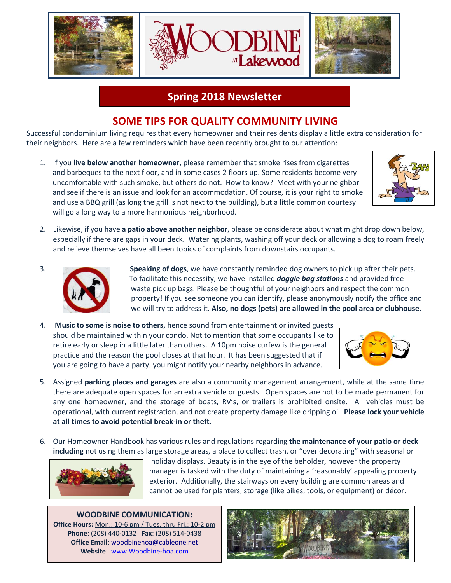

### **Spring 2018 Newsletter**

# **SOME TIPS FOR QUALITY COMMUNITY LIVING**

Successful condominium living requires that every homeowner and their residents display a little extra consideration for their neighbors. Here are a few reminders which have been recently brought to our attention:

1. If you **live below another homeowner**, please remember that smoke rises from cigarettes and barbeques to the next floor, and in some cases 2 floors up. Some residents become very uncomfortable with such smoke, but others do not. How to know? Meet with your neighbor and see if there is an issue and look for an accommodation. Of course, it is your right to smoke and use a BBQ grill (as long the grill is not next to the building), but a little common courtesy will go a long way to a more harmonious neighborhood.



2. Likewise, if you have **a patio above another neighbor**, please be considerate about what might drop down below, especially if there are gaps in your deck. Watering plants, washing off your deck or allowing a dog to roam freely and relieve themselves have all been topics of complaints from downstairs occupants.



3. **Speaking of dogs**, we have constantly reminded dog owners to pick up after their pets. To facilitate this necessity, we have installed *doggie bag stations* and provided free waste pick up bags. Please be thoughtful of your neighbors and respect the common property! If you see someone you can identify, please anonymously notify the office and we will try to address it. **Also, no dogs (pets) are allowed in the pool area or clubhouse.** 

4. **Music to some is noise to others**, hence sound from entertainment or invited guests should be maintained within your condo. Not to mention that some occupants like to retire early or sleep in a little later than others. A 10pm noise curfew is the general practice and the reason the pool closes at that hour. It has been suggested that if you are going to have a party, you might notify your nearby neighbors in advance.



- 5. Assigned **parking places and garages** are also a community management arrangement, while at the same time there are adequate open spaces for an extra vehicle or guests. Open spaces are not to be made permanent for any one homeowner, and the storage of boats, RV's, or trailers is prohibited onsite. All vehicles must be operational, with current registration, and not create property damage like dripping oil. **Please lock your vehicle at all times to avoid potential break-in or theft**.
- 6. Our Homeowner Handbook has various rules and regulations regarding **the maintenance of your patio or deck including** not using them as large storage areas, a place to collect trash, or "over decorating" with seasonal or



 holiday displays. Beauty is in the eye of the beholder, however the property manager is tasked with the duty of maintaining a 'reasonably' appealing property exterior. Additionally, the stairways on every building are common areas and cannot be used for planters, storage (like bikes, tools, or equipment) or décor.

#### **WOODBINE COMMUNICATION: Office Hours:** Mon.: 10-6 pm / Tues. thru Fri.: 10-2 pm

**Phone**: (208) 440-0132 **Fax**: (208) 514-0438 **Office Email**: [woodbinehoa@cableone.net](mailto:woodbinehoa@cableone.net) **Website**: [www.Woodbine-hoa.com](http://www.woodbine-hoa.com/)

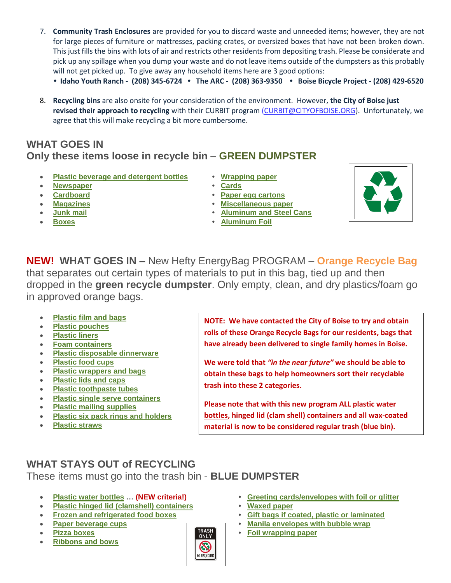- 7. **Community Trash Enclosures** are provided for you to discard waste and unneeded items; however, they are not for large pieces of furniture or mattresses, packing crates, or oversized boxes that have not been broken down. This just fills the bins with lots of air and restricts other residents from depositing trash. Please be considerate and pick up any spillage when you dump your waste and do not leave items outside of the dumpsters as this probably will not get picked up. To give away any household items here are 3 good options:
	- **• Idaho Youth Ranch - (208) 345-6724 • The ARC - (208) 363-9350 • Boise Bicycle Project - (208) 429-6520**
- 8. **Recycling bins** are also onsite for your consideration of the environment. However, **the City of Boise just revised their approach to recycling** with their CURBIT program [\(CURBIT@CITYOFBOISE.ORG\)](mailto:CURBIT@CITYOFBOISE.ORG). Unfortunately, we agree that this will make recycling a bit more cumbersome.

#### **WHAT GOES IN Only these items loose in recycle bin** – **GREEN DUMPSTER**

- **[Plastic beverage and detergent bottles](https://curbit.cityofboise.org/recycling/what-goes-in-what-stays-out/#PlasticBeverage) [Wrapping paper](https://curbit.cityofboise.org/recycling/what-goes-in-what-stays-out/#WrappingPaper)**
- **[Newspaper](https://curbit.cityofboise.org/recycling/what-goes-in-what-stays-out/#newspaper)  [Cards](https://curbit.cityofboise.org/recycling/what-goes-in-what-stays-out/#Cards)**
- 
- 
- 
- 
- 
- 
- **[Cardboard](https://curbit.cityofboise.org/recycling/what-goes-in-what-stays-out/#Cardboard) [Paper egg cartons](https://curbit.cityofboise.org/recycling/what-goes-in-what-stays-out/#EggCartons)**
- **[Magazines](https://curbit.cityofboise.org/recycling/what-goes-in-what-stays-out/#Magazines) [Miscellaneous paper](https://curbit.cityofboise.org/recycling/what-goes-in-what-stays-out/#MiscellaneousPaper)**
- **[Junk mail](https://curbit.cityofboise.org/recycling/what-goes-in-what-stays-out/#JunkMail)  [Aluminum and Steel Cans](https://curbit.cityofboise.org/recycling/what-goes-in-what-stays-out/#AluminumAndSteelCans)**
- **[Boxes](https://curbit.cityofboise.org/recycling/what-goes-in-what-stays-out/#Boxes)  [Aluminum Foil](https://curbit.cityofboise.org/recycling/what-goes-in-what-stays-out/#AluminumFoil)**



**NEW! WHAT GOES IN –** New Hefty EnergyBag PROGRAM – **Orange Recycle Bag** that separates out certain types of materials to put in this bag, tied up and then dropped in the **green recycle dumpster**. Only empty, clean, and dry plastics/foam go in approved orange bags.

- **[Plastic film and bags](https://curbit.cityofboise.org/recycling/what-goes-in-what-stays-out/#PlasticFilm)**
- **[Plastic pouches](https://curbit.cityofboise.org/recycling/what-goes-in-what-stays-out/#Pouches)**
- **[Plastic liners](https://curbit.cityofboise.org/recycling/what-goes-in-what-stays-out/#Liners)**
- **[Foam containers](https://curbit.cityofboise.org/recycling/what-goes-in-what-stays-out/#FoamContainers)**
- **[Plastic disposable dinnerware](https://curbit.cityofboise.org/recycling/what-goes-in-what-stays-out/#PlasticDisposable)**
- **[Plastic food cups](https://curbit.cityofboise.org/recycling/what-goes-in-what-stays-out/#Cups)**
- **[Plastic wrappers and bags](https://curbit.cityofboise.org/recycling/what-goes-in-what-stays-out/#Wrappers)**
- **[Plastic lids and caps](https://curbit.cityofboise.org/recycling/what-goes-in-what-stays-out/#PlasticLids)**
- **[Plastic toothpaste tubes](https://curbit.cityofboise.org/recycling/what-goes-in-what-stays-out/#Toothpaste)**
- **[Plastic single serve containers](https://curbit.cityofboise.org/recycling/what-goes-in-what-stays-out/#SingleServe)**
- **[Plastic mailing supplies](https://curbit.cityofboise.org/recycling/what-goes-in-what-stays-out/#MailingSupplies)**
- **[Plastic six pack rings and holders](https://curbit.cityofboise.org/recycling/what-goes-in-what-stays-out/#PlasticRings)**
- **[Plastic straws](https://curbit.cityofboise.org/recycling/what-goes-in-what-stays-out/#Straws)**

**NOTE: We have contacted the City of Boise to try and obtain rolls of these Orange Recycle Bags for our residents, bags that have already been delivered to single family homes in Boise.** 

**We were told that** *"in the near future"* **we should be able to obtain these bags to help homeowners sort their recyclable trash into these 2 categories.** 

**Please note that with this new program ALL plastic water bottles, hinged lid (clam shell) containers and all wax-coated material is now to be considered regular trash (blue bin).**

# **WHAT STAYS OUT of RECYCLING**

These items must go into the trash bin - **BLUE DUMPSTER**

- 
- **[Plastic hinged lid \(clamshell\) containers](https://curbit.cityofboise.org/recycling/what-goes-in-what-stays-out/#Clamshell) [Waxed paper](https://curbit.cityofboise.org/recycling/what-goes-in-what-stays-out/#WaxedPaper)**
- 
- 
- 
- **[Ribbons and bows](https://curbit.cityofboise.org/recycling/what-goes-in-what-stays-out/#RibbonsBows)**



- **[Plastic water bottles](https://curbit.cityofboise.org/recycling/what-goes-in-what-stays-out/#CrinklyPlastic) … (NEW criteria!) [Greeting cards/envelopes with foil or glitter](https://curbit.cityofboise.org/recycling/what-goes-in-what-stays-out/#GreetingCards)**
	-
- **[Frozen and refrigerated food boxes](https://curbit.cityofboise.org/recycling/what-goes-in-what-stays-out/#FrozenAndRefrigerated) [Gift bags if coated, plastic or laminated](https://curbit.cityofboise.org/recycling/what-goes-in-what-stays-out/#GiftBags)**
	- **[Paper beverage cups](https://curbit.cityofboise.org/recycling/what-goes-in-what-stays-out/#PaperBeverageCups)**<br> **Pizza boxes**<br> **example 1 FIRASH**<br> **example 1 [Manila envelopes with bubble wrap](https://curbit.cityofboise.org/recycling/what-goes-in-what-stays-out/#Manila)**<br> **example 1 in Eq. 1 in Eq. 1 i**
	- **[Pizza boxes](https://curbit.cityofboise.org/recycling/what-goes-in-what-stays-out/#PizzaBoxes) [Foil wrapping paper](https://curbit.cityofboise.org/recycling/what-goes-in-what-stays-out/#FoilWrappingPaper)**